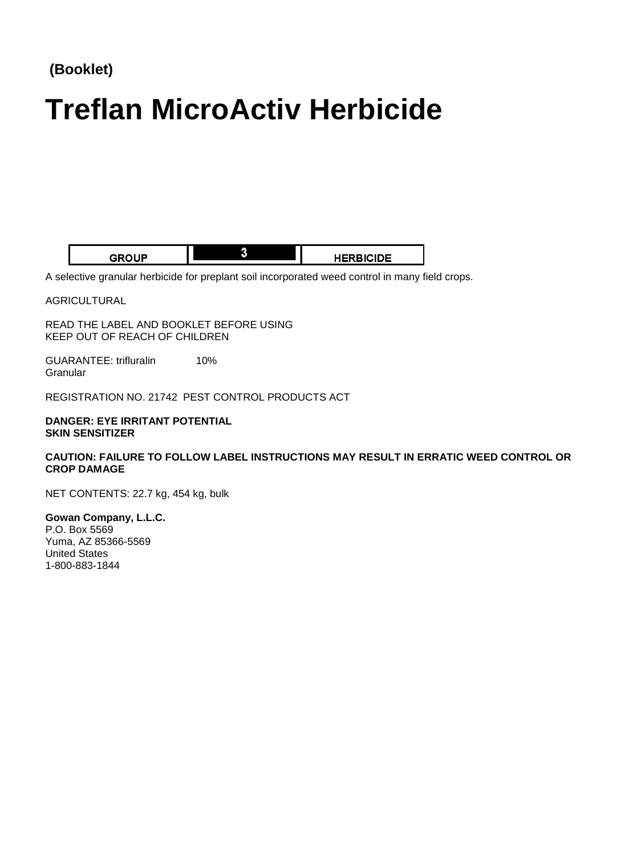# **(Booklet)**

# **Treflan MicroActiv Herbicide**

| םו ור<br>r pr | <b>3ICIDE</b><br>- JEDF |
|---------------|-------------------------|

A selective granular herbicide for preplant soil incorporated weed control in many field crops.

AGRICULTURAL

READ THE LABEL AND BOOKLET BEFORE USING KEEP OUT OF REACH OF CHILDREN

GUARANTEE: trifluralin 10% **Granular** 

REGISTRATION NO. 21742 PEST CONTROL PRODUCTS ACT

#### **DANGER: EYE IRRITANT POTENTIAL SKIN SENSITIZER**

#### **CAUTION: FAILURE TO FOLLOW LABEL INSTRUCTIONS MAY RESULT IN ERRATIC WEED CONTROL OR CROP DAMAGE**

NET CONTENTS: 22.7 kg, 454 kg, bulk

**Gowan Company, L.L.C.**  P.O. Box 5569 Yuma, AZ 85366-5569 United States 1-800-883-1844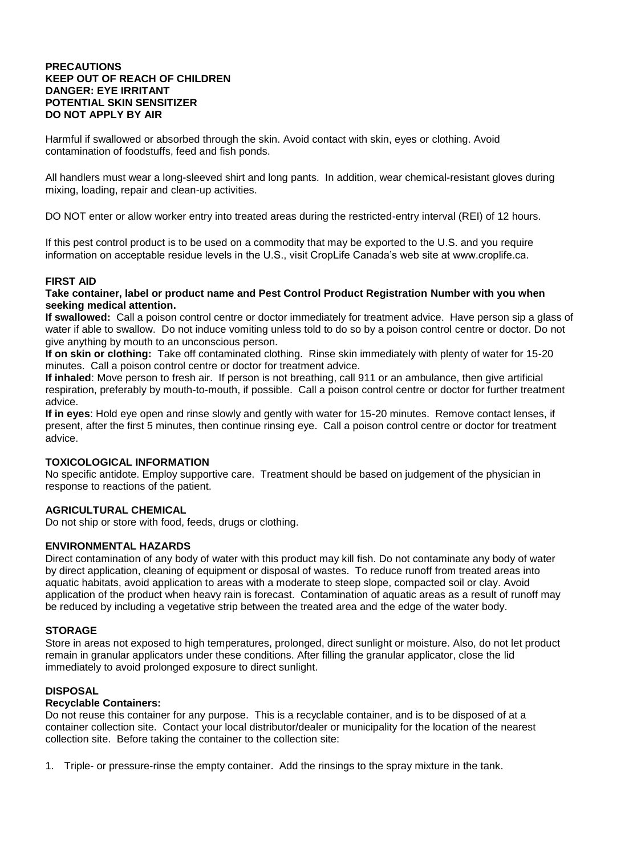#### **PRECAUTIONS KEEP OUT OF REACH OF CHILDREN DANGER: EYE IRRITANT POTENTIAL SKIN SENSITIZER DO NOT APPLY BY AIR**

Harmful if swallowed or absorbed through the skin. Avoid contact with skin, eyes or clothing. Avoid contamination of foodstuffs, feed and fish ponds.

All handlers must wear a long-sleeved shirt and long pants. In addition, wear chemical-resistant gloves during mixing, loading, repair and clean-up activities.

DO NOT enter or allow worker entry into treated areas during the restricted-entry interval (REI) of 12 hours.

If this pest control product is to be used on a commodity that may be exported to the U.S. and you require information on acceptable residue levels in the U.S., visit CropLife Canada's web site at www.croplife.ca.

#### **FIRST AID**

#### **Take container, label or product name and Pest Control Product Registration Number with you when seeking medical attention.**

**If swallowed:** Call a poison control centre or doctor immediately for treatment advice. Have person sip a glass of water if able to swallow. Do not induce vomiting unless told to do so by a poison control centre or doctor. Do not give anything by mouth to an unconscious person.

**If on skin or clothing:** Take off contaminated clothing. Rinse skin immediately with plenty of water for 15-20 minutes. Call a poison control centre or doctor for treatment advice.

**If inhaled**: Move person to fresh air. If person is not breathing, call 911 or an ambulance, then give artificial respiration, preferably by mouth-to-mouth, if possible. Call a poison control centre or doctor for further treatment advice.

**If in eyes**: Hold eye open and rinse slowly and gently with water for 15-20 minutes. Remove contact lenses, if present, after the first 5 minutes, then continue rinsing eye. Call a poison control centre or doctor for treatment advice.

#### **TOXICOLOGICAL INFORMATION**

No specific antidote. Employ supportive care. Treatment should be based on judgement of the physician in response to reactions of the patient.

#### **AGRICULTURAL CHEMICAL**

Do not ship or store with food, feeds, drugs or clothing.

#### **ENVIRONMENTAL HAZARDS**

Direct contamination of any body of water with this product may kill fish. Do not contaminate any body of water by direct application, cleaning of equipment or disposal of wastes. To reduce runoff from treated areas into aquatic habitats, avoid application to areas with a moderate to steep slope, compacted soil or clay. Avoid application of the product when heavy rain is forecast. Contamination of aquatic areas as a result of runoff may be reduced by including a vegetative strip between the treated area and the edge of the water body.

#### **STORAGE**

Store in areas not exposed to high temperatures, prolonged, direct sunlight or moisture. Also, do not let product remain in granular applicators under these conditions. After filling the granular applicator, close the lid immediately to avoid prolonged exposure to direct sunlight.

#### **DISPOSAL**

#### **Recyclable Containers:**

Do not reuse this container for any purpose. This is a recyclable container, and is to be disposed of at a container collection site. Contact your local distributor/dealer or municipality for the location of the nearest collection site. Before taking the container to the collection site:

1. Triple- or pressure-rinse the empty container. Add the rinsings to the spray mixture in the tank.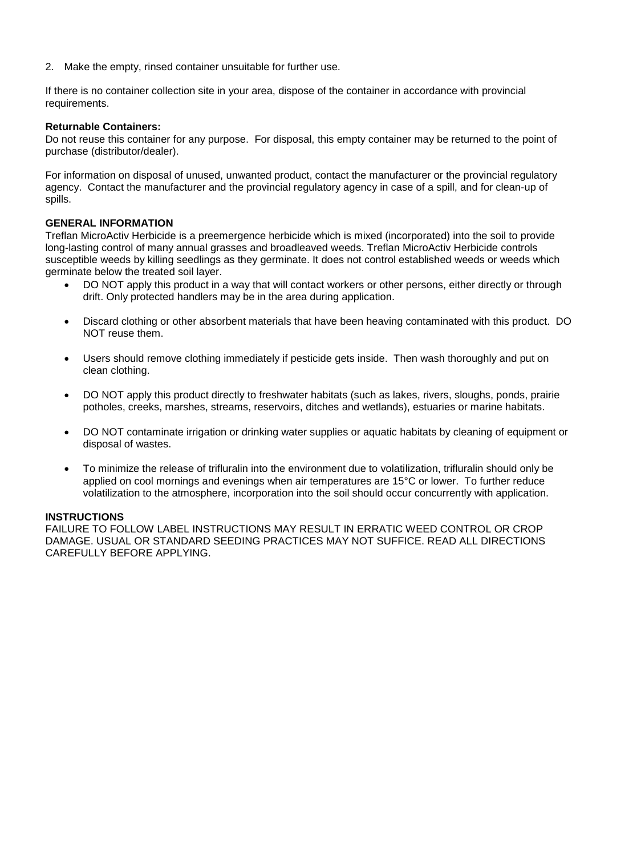2. Make the empty, rinsed container unsuitable for further use.

If there is no container collection site in your area, dispose of the container in accordance with provincial requirements.

#### **Returnable Containers:**

Do not reuse this container for any purpose. For disposal, this empty container may be returned to the point of purchase (distributor/dealer).

For information on disposal of unused, unwanted product, contact the manufacturer or the provincial regulatory agency. Contact the manufacturer and the provincial regulatory agency in case of a spill, and for clean-up of spills.

#### **GENERAL INFORMATION**

Treflan MicroActiv Herbicide is a preemergence herbicide which is mixed (incorporated) into the soil to provide long-lasting control of many annual grasses and broadleaved weeds. Treflan MicroActiv Herbicide controls susceptible weeds by killing seedlings as they germinate. It does not control established weeds or weeds which germinate below the treated soil layer.

- DO NOT apply this product in a way that will contact workers or other persons, either directly or through drift. Only protected handlers may be in the area during application.
- Discard clothing or other absorbent materials that have been heaving contaminated with this product. DO NOT reuse them.
- Users should remove clothing immediately if pesticide gets inside. Then wash thoroughly and put on clean clothing.
- DO NOT apply this product directly to freshwater habitats (such as lakes, rivers, sloughs, ponds, prairie potholes, creeks, marshes, streams, reservoirs, ditches and wetlands), estuaries or marine habitats.
- DO NOT contaminate irrigation or drinking water supplies or aquatic habitats by cleaning of equipment or disposal of wastes.
- To minimize the release of trifluralin into the environment due to volatilization, trifluralin should only be applied on cool mornings and evenings when air temperatures are 15°C or lower. To further reduce volatilization to the atmosphere, incorporation into the soil should occur concurrently with application.

#### **INSTRUCTIONS**

FAILURE TO FOLLOW LABEL INSTRUCTIONS MAY RESULT IN ERRATIC WEED CONTROL OR CROP DAMAGE. USUAL OR STANDARD SEEDING PRACTICES MAY NOT SUFFICE. READ ALL DIRECTIONS CAREFULLY BEFORE APPLYING.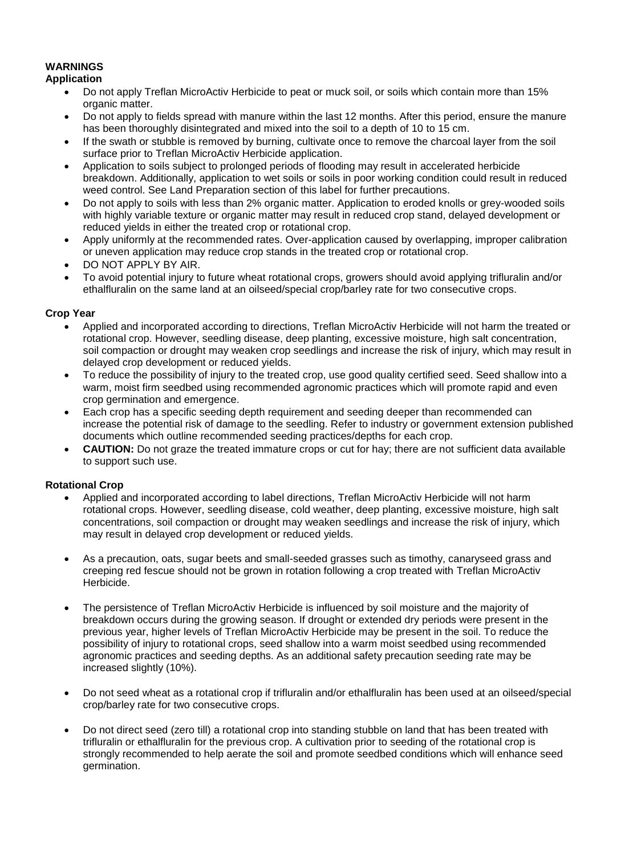#### **WARNINGS**

#### **Application**

- Do not apply Treflan MicroActiv Herbicide to peat or muck soil, or soils which contain more than 15% organic matter.
- Do not apply to fields spread with manure within the last 12 months. After this period, ensure the manure has been thoroughly disintegrated and mixed into the soil to a depth of 10 to 15 cm.
- If the swath or stubble is removed by burning, cultivate once to remove the charcoal layer from the soil surface prior to Treflan MicroActiv Herbicide application.
- Application to soils subject to prolonged periods of flooding may result in accelerated herbicide breakdown. Additionally, application to wet soils or soils in poor working condition could result in reduced weed control. See Land Preparation section of this label for further precautions.
- Do not apply to soils with less than 2% organic matter. Application to eroded knolls or grey-wooded soils with highly variable texture or organic matter may result in reduced crop stand, delayed development or reduced yields in either the treated crop or rotational crop.
- Apply uniformly at the recommended rates. Over-application caused by overlapping, improper calibration or uneven application may reduce crop stands in the treated crop or rotational crop.
- DO NOT APPLY BY AIR.
- To avoid potential injury to future wheat rotational crops, growers should avoid applying trifluralin and/or ethalfluralin on the same land at an oilseed/special crop/barley rate for two consecutive crops.

#### **Crop Year**

- Applied and incorporated according to directions, Treflan MicroActiv Herbicide will not harm the treated or rotational crop. However, seedling disease, deep planting, excessive moisture, high salt concentration, soil compaction or drought may weaken crop seedlings and increase the risk of injury, which may result in delayed crop development or reduced yields.
- To reduce the possibility of injury to the treated crop, use good quality certified seed. Seed shallow into a warm, moist firm seedbed using recommended agronomic practices which will promote rapid and even crop germination and emergence.
- Each crop has a specific seeding depth requirement and seeding deeper than recommended can increase the potential risk of damage to the seedling. Refer to industry or government extension published documents which outline recommended seeding practices/depths for each crop.
- **CAUTION:** Do not graze the treated immature crops or cut for hay; there are not sufficient data available to support such use.

#### **Rotational Crop**

- Applied and incorporated according to label directions, Treflan MicroActiv Herbicide will not harm rotational crops. However, seedling disease, cold weather, deep planting, excessive moisture, high salt concentrations, soil compaction or drought may weaken seedlings and increase the risk of injury, which may result in delayed crop development or reduced yields.
- As a precaution, oats, sugar beets and small-seeded grasses such as timothy, canaryseed grass and creeping red fescue should not be grown in rotation following a crop treated with Treflan MicroActiv Herbicide.
- The persistence of Treflan MicroActiv Herbicide is influenced by soil moisture and the majority of breakdown occurs during the growing season. If drought or extended dry periods were present in the previous year, higher levels of Treflan MicroActiv Herbicide may be present in the soil. To reduce the possibility of injury to rotational crops, seed shallow into a warm moist seedbed using recommended agronomic practices and seeding depths. As an additional safety precaution seeding rate may be increased slightly (10%).
- Do not seed wheat as a rotational crop if trifluralin and/or ethalfluralin has been used at an oilseed/special crop/barley rate for two consecutive crops.
- Do not direct seed (zero till) a rotational crop into standing stubble on land that has been treated with trifluralin or ethalfluralin for the previous crop. A cultivation prior to seeding of the rotational crop is strongly recommended to help aerate the soil and promote seedbed conditions which will enhance seed germination.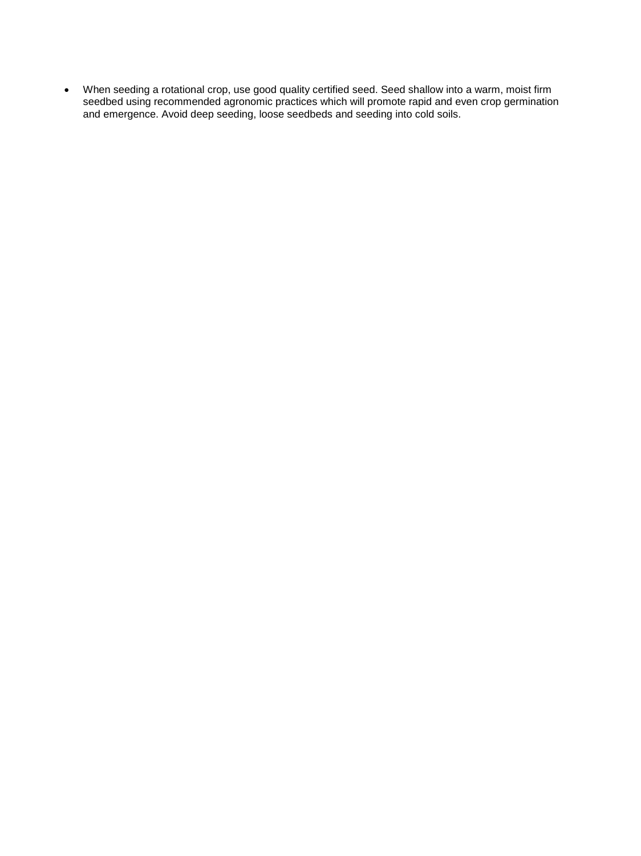When seeding a rotational crop, use good quality certified seed. Seed shallow into a warm, moist firm seedbed using recommended agronomic practices which will promote rapid and even crop germination and emergence. Avoid deep seeding, loose seedbeds and seeding into cold soils.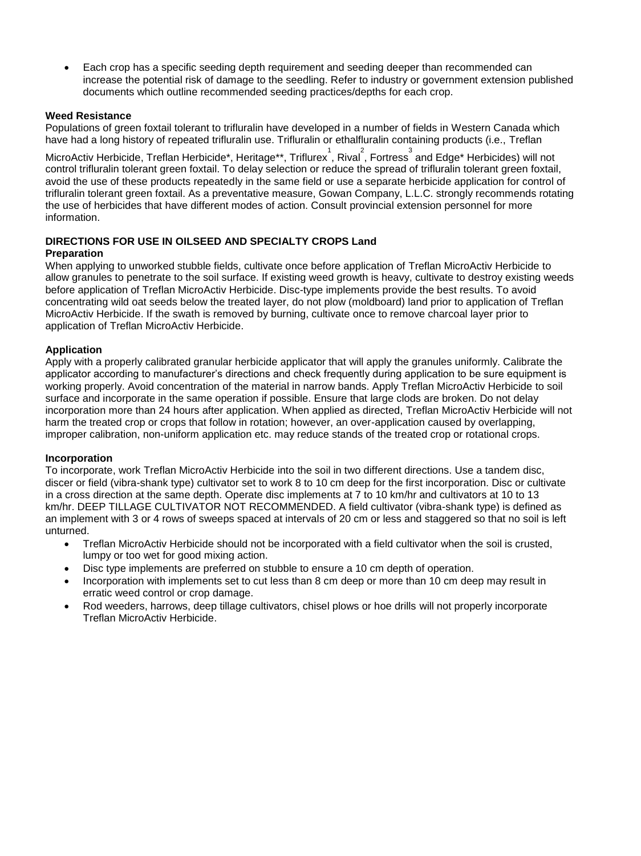Each crop has a specific seeding depth requirement and seeding deeper than recommended can increase the potential risk of damage to the seedling. Refer to industry or government extension published documents which outline recommended seeding practices/depths for each crop.

#### **Weed Resistance**

Populations of green foxtail tolerant to trifluralin have developed in a number of fields in Western Canada which have had a long history of repeated trifluralin use. Trifluralin or ethalfluralin containing products (i.e., Treflan

MicroActiv Herbicide, Treflan Herbicide\*, Heritage\*\*, Triflurex  $\stackrel{1}{\cdot}$ , Rival  $\stackrel{2}{\cdot}$ , Fortress  $\stackrel{3}{\cdot}$  and Edge\* Herbicides) will not control trifluralin tolerant green foxtail. To delay selection or reduce the spread of trifluralin tolerant green foxtail, avoid the use of these products repeatedly in the same field or use a separate herbicide application for control of trifluralin tolerant green foxtail. As a preventative measure, Gowan Company, L.L.C. strongly recommends rotating the use of herbicides that have different modes of action. Consult provincial extension personnel for more information.

## **DIRECTIONS FOR USE IN OILSEED AND SPECIALTY CROPS Land**

#### **Preparation**

When applying to unworked stubble fields, cultivate once before application of Treflan MicroActiv Herbicide to allow granules to penetrate to the soil surface. If existing weed growth is heavy, cultivate to destroy existing weeds before application of Treflan MicroActiv Herbicide. Disc-type implements provide the best results. To avoid concentrating wild oat seeds below the treated layer, do not plow (moldboard) land prior to application of Treflan MicroActiv Herbicide. If the swath is removed by burning, cultivate once to remove charcoal layer prior to application of Treflan MicroActiv Herbicide.

#### **Application**

Apply with a properly calibrated granular herbicide applicator that will apply the granules uniformly. Calibrate the applicator according to manufacturer's directions and check frequently during application to be sure equipment is working properly. Avoid concentration of the material in narrow bands. Apply Treflan MicroActiv Herbicide to soil surface and incorporate in the same operation if possible. Ensure that large clods are broken. Do not delay incorporation more than 24 hours after application. When applied as directed, Treflan MicroActiv Herbicide will not harm the treated crop or crops that follow in rotation; however, an over-application caused by overlapping, improper calibration, non-uniform application etc. may reduce stands of the treated crop or rotational crops.

#### **Incorporation**

To incorporate, work Treflan MicroActiv Herbicide into the soil in two different directions. Use a tandem disc, discer or field (vibra-shank type) cultivator set to work 8 to 10 cm deep for the first incorporation. Disc or cultivate in a cross direction at the same depth. Operate disc implements at 7 to 10 km/hr and cultivators at 10 to 13 km/hr. DEEP TILLAGE CULTIVATOR NOT RECOMMENDED. A field cultivator (vibra-shank type) is defined as an implement with 3 or 4 rows of sweeps spaced at intervals of 20 cm or less and staggered so that no soil is left unturned.

- Treflan MicroActiv Herbicide should not be incorporated with a field cultivator when the soil is crusted, lumpy or too wet for good mixing action.
- Disc type implements are preferred on stubble to ensure a 10 cm depth of operation.
- Incorporation with implements set to cut less than 8 cm deep or more than 10 cm deep may result in erratic weed control or crop damage.
- Rod weeders, harrows, deep tillage cultivators, chisel plows or hoe drills will not properly incorporate Treflan MicroActiv Herbicide.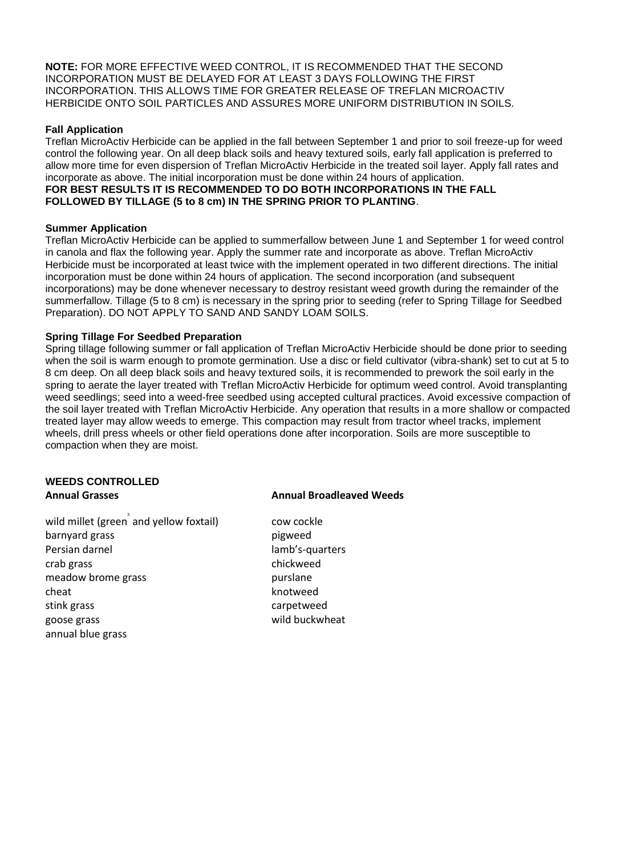**NOTE:** FOR MORE EFFECTIVE WEED CONTROL, IT IS RECOMMENDED THAT THE SECOND INCORPORATION MUST BE DELAYED FOR AT LEAST 3 DAYS FOLLOWING THE FIRST INCORPORATION. THIS ALLOWS TIME FOR GREATER RELEASE OF TREFLAN MICROACTIV HERBICIDE ONTO SOIL PARTICLES AND ASSURES MORE UNIFORM DISTRIBUTION IN SOILS.

#### **Fall Application**

Treflan MicroActiv Herbicide can be applied in the fall between September 1 and prior to soil freeze-up for weed control the following year. On all deep black soils and heavy textured soils, early fall application is preferred to allow more time for even dispersion of Treflan MicroActiv Herbicide in the treated soil layer. Apply fall rates and incorporate as above. The initial incorporation must be done within 24 hours of application. **FOR BEST RESULTS IT IS RECOMMENDED TO DO BOTH INCORPORATIONS IN THE FALL FOLLOWED BY TILLAGE (5 to 8 cm) IN THE SPRING PRIOR TO PLANTING**.

#### **Summer Application**

Treflan MicroActiv Herbicide can be applied to summerfallow between June 1 and September 1 for weed control in canola and flax the following year. Apply the summer rate and incorporate as above. Treflan MicroActiv Herbicide must be incorporated at least twice with the implement operated in two different directions. The initial incorporation must be done within 24 hours of application. The second incorporation (and subsequent incorporations) may be done whenever necessary to destroy resistant weed growth during the remainder of the summerfallow. Tillage (5 to 8 cm) is necessary in the spring prior to seeding (refer to Spring Tillage for Seedbed Preparation). DO NOT APPLY TO SAND AND SANDY LOAM SOILS.

#### **Spring Tillage For Seedbed Preparation**

Spring tillage following summer or fall application of Treflan MicroActiv Herbicide should be done prior to seeding when the soil is warm enough to promote germination. Use a disc or field cultivator (vibra-shank) set to cut at 5 to 8 cm deep. On all deep black soils and heavy textured soils, it is recommended to prework the soil early in the spring to aerate the layer treated with Treflan MicroActiv Herbicide for optimum weed control. Avoid transplanting weed seedlings; seed into a weed-free seedbed using accepted cultural practices. Avoid excessive compaction of the soil layer treated with Treflan MicroActiv Herbicide. Any operation that results in a more shallow or compacted treated layer may allow weeds to emerge. This compaction may result from tractor wheel tracks, implement wheels, drill press wheels or other field operations done after incorporation. Soils are more susceptible to compaction when they are moist.

# **WEEDS CONTROLLED**

wild millet (green and yellow foxtail)  $\qquad \qquad \text{cow cockle}$ barnyard grass barnyard grass pigweed Persian darnel lamb's-quarters crab grass chickweed meadow brome grass burst and the purslane cheat knotweed stink grass carpetweed goose grass and the control of the wild buckwheat annual blue grass

#### **Annual Grasses Annual Broadleaved Weeds**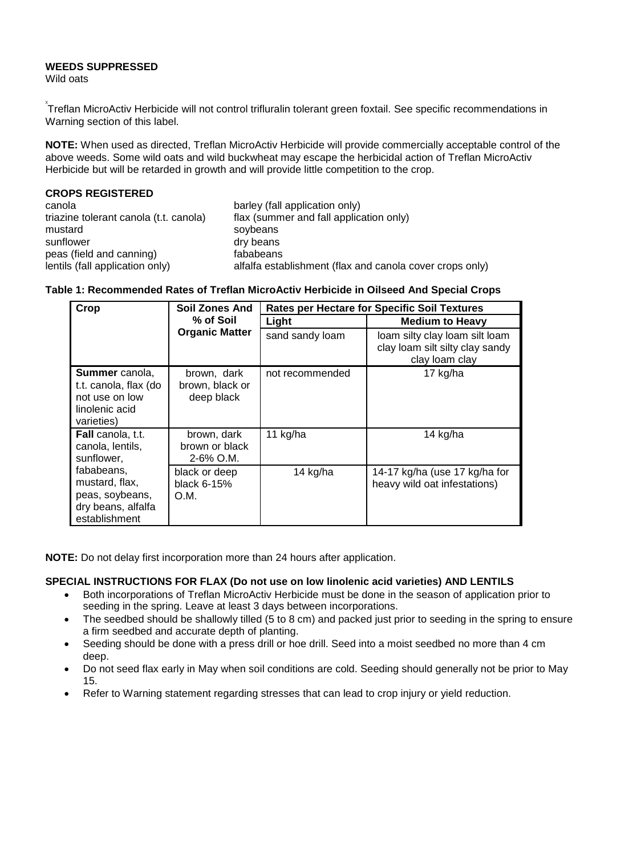## **WEEDS SUPPRESSED**

Wild oats

 $\check{X}$ reflan MicroActiv Herbicide will not control trifluralin tolerant green foxtail. See specific recommendations in Warning section of this label.

**NOTE:** When used as directed, Treflan MicroActiv Herbicide will provide commercially acceptable control of the above weeds. Some wild oats and wild buckwheat may escape the herbicidal action of Treflan MicroActiv Herbicide but will be retarded in growth and will provide little competition to the crop.

| <b>CROPS REGISTERED</b>                |                                                          |
|----------------------------------------|----------------------------------------------------------|
| canola                                 | barley (fall application only)                           |
| triazine tolerant canola (t.t. canola) | flax (summer and fall application only)                  |
| mustard                                | soybeans                                                 |
| sunflower                              | dry beans                                                |
| peas (field and canning)               | fababeans                                                |
| lentils (fall application only)        | alfalfa establishment (flax and canola cover crops only) |

#### **Table 1: Recommended Rates of Treflan MicroActiv Herbicide in Oilseed And Special Crops**

| Crop                                                                                             | Soil Zones And<br>% of Soil                   | <b>Rates per Hectare for Specific Soil Textures</b> |                                                                                     |  |
|--------------------------------------------------------------------------------------------------|-----------------------------------------------|-----------------------------------------------------|-------------------------------------------------------------------------------------|--|
|                                                                                                  |                                               | Light                                               | <b>Medium to Heavy</b>                                                              |  |
| <b>Organic Matter</b>                                                                            |                                               | sand sandy loam                                     | loam silty clay loam silt loam<br>clay loam silt silty clay sandy<br>clay loam clay |  |
| <b>Summer</b> canola,<br>t.t. canola, flax (do<br>not use on low<br>linolenic acid<br>varieties) | brown, dark<br>brown, black or<br>deep black  | not recommended                                     | 17 kg/ha                                                                            |  |
| <b>Fall</b> canola, t.t.<br>canola, lentils,<br>sunflower,                                       | brown, dark<br>brown or black<br>$2-6\%$ O.M. | 11 kg/ha                                            | 14 kg/ha                                                                            |  |
| fababeans,<br>mustard, flax,<br>peas, soybeans,<br>dry beans, alfalfa<br>establishment           | black or deep<br>black 6-15%<br>O.M.          | 14 kg/ha                                            | 14-17 kg/ha (use 17 kg/ha for<br>heavy wild oat infestations)                       |  |

**NOTE:** Do not delay first incorporation more than 24 hours after application.

#### **SPECIAL INSTRUCTIONS FOR FLAX (Do not use on low linolenic acid varieties) AND LENTILS**

- Both incorporations of Treflan MicroActiv Herbicide must be done in the season of application prior to seeding in the spring. Leave at least 3 days between incorporations.
- The seedbed should be shallowly tilled (5 to 8 cm) and packed just prior to seeding in the spring to ensure a firm seedbed and accurate depth of planting.
- Seeding should be done with a press drill or hoe drill. Seed into a moist seedbed no more than 4 cm deep.
- Do not seed flax early in May when soil conditions are cold. Seeding should generally not be prior to May 15.
- Refer to Warning statement regarding stresses that can lead to crop injury or yield reduction.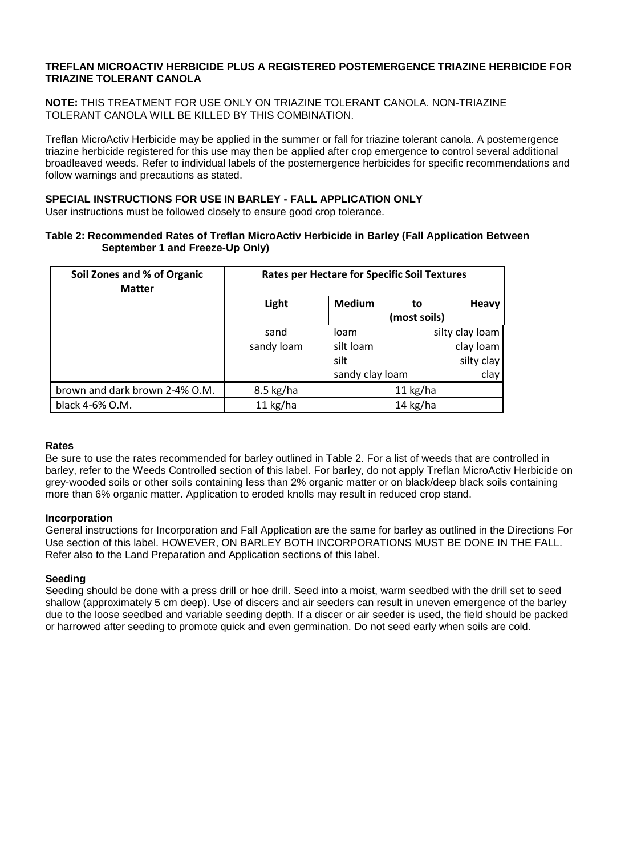#### **TREFLAN MICROACTIV HERBICIDE PLUS A REGISTERED POSTEMERGENCE TRIAZINE HERBICIDE FOR TRIAZINE TOLERANT CANOLA**

**NOTE:** THIS TREATMENT FOR USE ONLY ON TRIAZINE TOLERANT CANOLA. NON-TRIAZINE TOLERANT CANOLA WILL BE KILLED BY THIS COMBINATION.

Treflan MicroActiv Herbicide may be applied in the summer or fall for triazine tolerant canola. A postemergence triazine herbicide registered for this use may then be applied after crop emergence to control several additional broadleaved weeds. Refer to individual labels of the postemergence herbicides for specific recommendations and follow warnings and precautions as stated.

# **SPECIAL INSTRUCTIONS FOR USE IN BARLEY - FALL APPLICATION ONLY**

User instructions must be followed closely to ensure good crop tolerance.

#### **Table 2: Recommended Rates of Treflan MicroActiv Herbicide in Barley (Fall Application Between September 1 and Freeze-Up Only)**

| Soil Zones and % of Organic<br><b>Matter</b> | <b>Rates per Hectare for Specific Soil Textures</b> |                 |            |                 |
|----------------------------------------------|-----------------------------------------------------|-----------------|------------|-----------------|
|                                              | Light                                               | <b>Medium</b>   | to         | <b>Heavy</b>    |
|                                              |                                                     | (most soils)    |            |                 |
|                                              | sand                                                | loam            |            | silty clay loam |
|                                              | sandy loam                                          | silt loam       |            | clay loam       |
|                                              |                                                     | silt            |            | silty clay      |
|                                              |                                                     | sandy clay loam |            | clay            |
| brown and dark brown 2-4% O.M.               | $8.5$ kg/ha                                         |                 | $11$ kg/ha |                 |
| black 4-6% O.M.                              | $11$ kg/ha                                          |                 | $14$ kg/ha |                 |

#### **Rates**

Be sure to use the rates recommended for barley outlined in Table 2. For a list of weeds that are controlled in barley, refer to the Weeds Controlled section of this label. For barley, do not apply Treflan MicroActiv Herbicide on grey-wooded soils or other soils containing less than 2% organic matter or on black/deep black soils containing more than 6% organic matter. Application to eroded knolls may result in reduced crop stand.

#### **Incorporation**

General instructions for Incorporation and Fall Application are the same for barley as outlined in the Directions For Use section of this label. HOWEVER, ON BARLEY BOTH INCORPORATIONS MUST BE DONE IN THE FALL. Refer also to the Land Preparation and Application sections of this label.

#### **Seeding**

Seeding should be done with a press drill or hoe drill. Seed into a moist, warm seedbed with the drill set to seed shallow (approximately 5 cm deep). Use of discers and air seeders can result in uneven emergence of the barley due to the loose seedbed and variable seeding depth. If a discer or air seeder is used, the field should be packed or harrowed after seeding to promote quick and even germination. Do not seed early when soils are cold.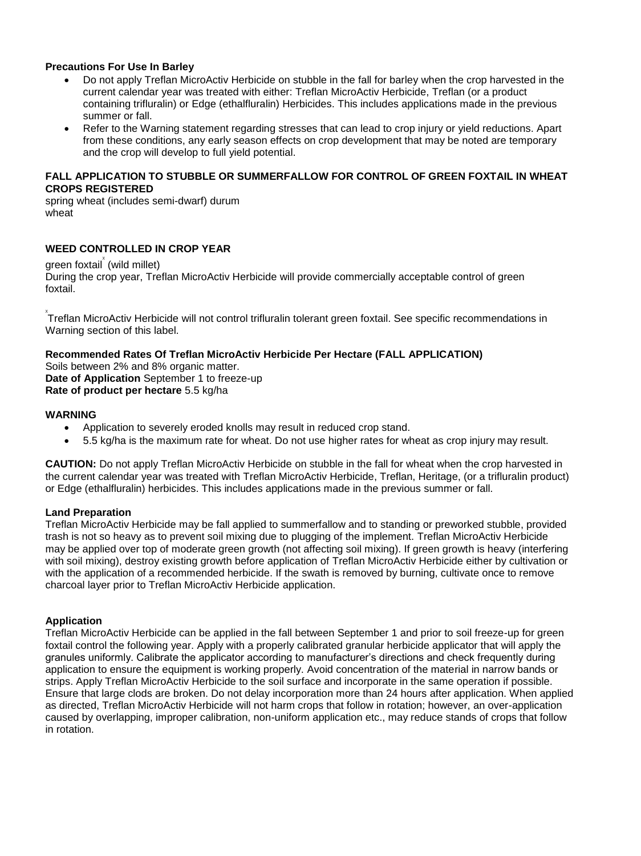#### **Precautions For Use In Barley**

- Do not apply Treflan MicroActiv Herbicide on stubble in the fall for barley when the crop harvested in the current calendar year was treated with either: Treflan MicroActiv Herbicide, Treflan (or a product containing trifluralin) or Edge (ethalfluralin) Herbicides. This includes applications made in the previous summer or fall.
- Refer to the Warning statement regarding stresses that can lead to crop injury or yield reductions. Apart from these conditions, any early season effects on crop development that may be noted are temporary and the crop will develop to full yield potential.

#### **FALL APPLICATION TO STUBBLE OR SUMMERFALLOW FOR CONTROL OF GREEN FOXTAIL IN WHEAT CROPS REGISTERED**

spring wheat (includes semi-dwarf) durum wheat

#### **WEED CONTROLLED IN CROP YEAR**

green foxtail (wild millet)

During the crop year, Treflan MicroActiv Herbicide will provide commercially acceptable control of green foxtail.

<sup>x</sup><br>Treflan MicroActiv Herbicide will not control trifluralin tolerant green foxtail. See specific recommendations in Warning section of this label.

#### **Recommended Rates Of Treflan MicroActiv Herbicide Per Hectare (FALL APPLICATION)**

Soils between 2% and 8% organic matter. **Date of Application** September 1 to freeze-up

**Rate of product per hectare** 5.5 kg/ha

#### **WARNING**

- Application to severely eroded knolls may result in reduced crop stand.
- 5.5 kg/ha is the maximum rate for wheat. Do not use higher rates for wheat as crop injury may result.

**CAUTION:** Do not apply Treflan MicroActiv Herbicide on stubble in the fall for wheat when the crop harvested in the current calendar year was treated with Treflan MicroActiv Herbicide, Treflan, Heritage, (or a trifluralin product) or Edge (ethalfluralin) herbicides. This includes applications made in the previous summer or fall.

#### **Land Preparation**

Treflan MicroActiv Herbicide may be fall applied to summerfallow and to standing or preworked stubble, provided trash is not so heavy as to prevent soil mixing due to plugging of the implement. Treflan MicroActiv Herbicide may be applied over top of moderate green growth (not affecting soil mixing). If green growth is heavy (interfering with soil mixing), destroy existing growth before application of Treflan MicroActiv Herbicide either by cultivation or with the application of a recommended herbicide. If the swath is removed by burning, cultivate once to remove charcoal layer prior to Treflan MicroActiv Herbicide application.

#### **Application**

Treflan MicroActiv Herbicide can be applied in the fall between September 1 and prior to soil freeze-up for green foxtail control the following year. Apply with a properly calibrated granular herbicide applicator that will apply the granules uniformly. Calibrate the applicator according to manufacturer's directions and check frequently during application to ensure the equipment is working properly. Avoid concentration of the material in narrow bands or strips. Apply Treflan MicroActiv Herbicide to the soil surface and incorporate in the same operation if possible. Ensure that large clods are broken. Do not delay incorporation more than 24 hours after application. When applied as directed, Treflan MicroActiv Herbicide will not harm crops that follow in rotation; however, an over-application caused by overlapping, improper calibration, non-uniform application etc., may reduce stands of crops that follow in rotation.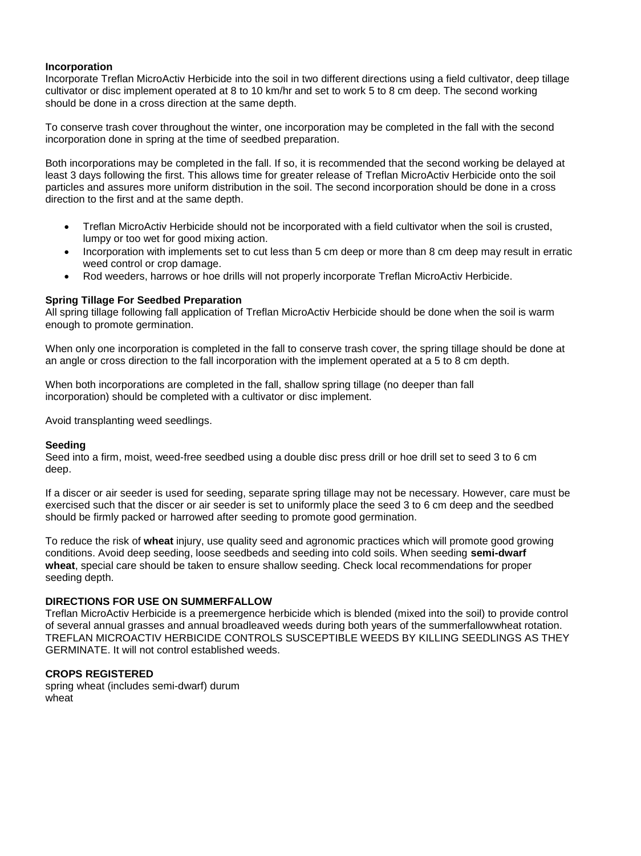#### **Incorporation**

Incorporate Treflan MicroActiv Herbicide into the soil in two different directions using a field cultivator, deep tillage cultivator or disc implement operated at 8 to 10 km/hr and set to work 5 to 8 cm deep. The second working should be done in a cross direction at the same depth.

To conserve trash cover throughout the winter, one incorporation may be completed in the fall with the second incorporation done in spring at the time of seedbed preparation.

Both incorporations may be completed in the fall. If so, it is recommended that the second working be delayed at least 3 days following the first. This allows time for greater release of Treflan MicroActiv Herbicide onto the soil particles and assures more uniform distribution in the soil. The second incorporation should be done in a cross direction to the first and at the same depth.

- Treflan MicroActiv Herbicide should not be incorporated with a field cultivator when the soil is crusted, lumpy or too wet for good mixing action.
- Incorporation with implements set to cut less than 5 cm deep or more than 8 cm deep may result in erratic weed control or crop damage.
- Rod weeders, harrows or hoe drills will not properly incorporate Treflan MicroActiv Herbicide.

#### **Spring Tillage For Seedbed Preparation**

All spring tillage following fall application of Treflan MicroActiv Herbicide should be done when the soil is warm enough to promote germination.

When only one incorporation is completed in the fall to conserve trash cover, the spring tillage should be done at an angle or cross direction to the fall incorporation with the implement operated at a 5 to 8 cm depth.

When both incorporations are completed in the fall, shallow spring tillage (no deeper than fall incorporation) should be completed with a cultivator or disc implement.

Avoid transplanting weed seedlings.

#### **Seeding**

Seed into a firm, moist, weed-free seedbed using a double disc press drill or hoe drill set to seed 3 to 6 cm deep.

If a discer or air seeder is used for seeding, separate spring tillage may not be necessary. However, care must be exercised such that the discer or air seeder is set to uniformly place the seed 3 to 6 cm deep and the seedbed should be firmly packed or harrowed after seeding to promote good germination.

To reduce the risk of **wheat** injury, use quality seed and agronomic practices which will promote good growing conditions. Avoid deep seeding, loose seedbeds and seeding into cold soils. When seeding **semi-dwarf wheat**, special care should be taken to ensure shallow seeding. Check local recommendations for proper seeding depth.

#### **DIRECTIONS FOR USE ON SUMMERFALLOW**

Treflan MicroActiv Herbicide is a preemergence herbicide which is blended (mixed into the soil) to provide control of several annual grasses and annual broadleaved weeds during both years of the summerfallowwheat rotation. TREFLAN MICROACTIV HERBICIDE CONTROLS SUSCEPTIBLE WEEDS BY KILLING SEEDLINGS AS THEY GERMINATE. It will not control established weeds.

#### **CROPS REGISTERED**

spring wheat (includes semi-dwarf) durum wheat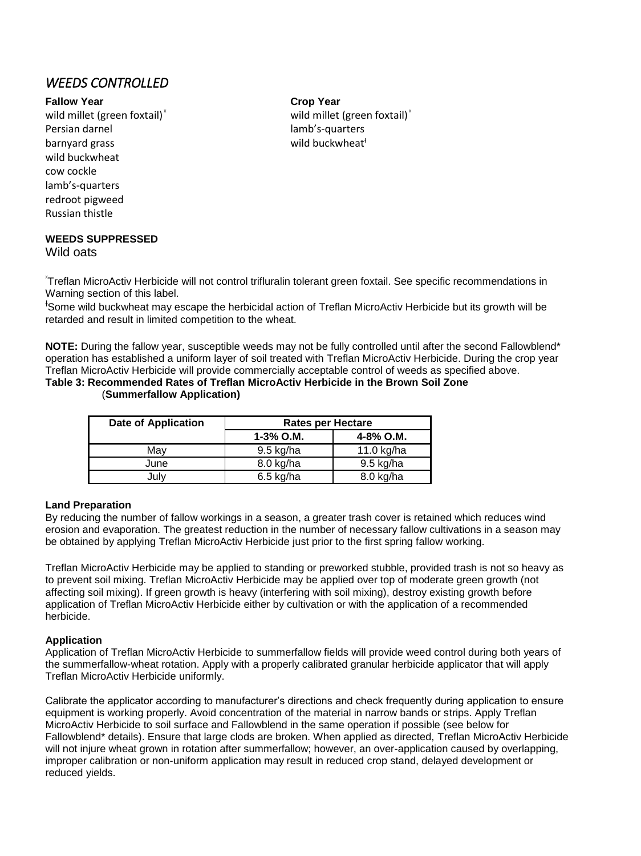# *WEEDS CONTROLLED*

#### **Fallow Year Crop Year**

wild millet (green foxtail) $^{\times}$ Persian darnel and a control control lamb's-quarters barnyard grass barnyard grass wild buckwheat<sup>t</sup> wild buckwheat cow cockle lamb's-quarters redroot pigweed Russian thistle

# **WEEDS SUPPRESSED**

Wild oats

wild millet (green foxtail) $^*$ 

X Treflan MicroActiv Herbicide will not control trifluralin tolerant green foxtail. See specific recommendations in Warning section of this label.

<sup>+</sup>Some wild buckwheat may escape the herbicidal action of Treflan MicroActiv Herbicide but its growth will be retarded and result in limited competition to the wheat.

**NOTE:** During the fallow year, susceptible weeds may not be fully controlled until after the second Fallowblend\* operation has established a uniform layer of soil treated with Treflan MicroActiv Herbicide. During the crop year Treflan MicroActiv Herbicide will provide commercially acceptable control of weeds as specified above.

#### **Table 3: Recommended Rates of Treflan MicroActiv Herbicide in the Brown Soil Zone**  (**Summerfallow Application)**

| <b>Date of Application</b> | <b>Rates per Hectare</b> |             |  |
|----------------------------|--------------------------|-------------|--|
|                            | $1-3%$ O.M.              | 4-8% O.M.   |  |
| Mav                        | 9.5 kg/ha                | 11.0 kg/ha  |  |
| June                       | 8.0 kg/ha                | $9.5$ kg/ha |  |
| July                       | $6.5$ kg/ha              | 8.0 kg/ha   |  |

#### **Land Preparation**

By reducing the number of fallow workings in a season, a greater trash cover is retained which reduces wind erosion and evaporation. The greatest reduction in the number of necessary fallow cultivations in a season may be obtained by applying Treflan MicroActiv Herbicide just prior to the first spring fallow working.

Treflan MicroActiv Herbicide may be applied to standing or preworked stubble, provided trash is not so heavy as to prevent soil mixing. Treflan MicroActiv Herbicide may be applied over top of moderate green growth (not affecting soil mixing). If green growth is heavy (interfering with soil mixing), destroy existing growth before application of Treflan MicroActiv Herbicide either by cultivation or with the application of a recommended herbicide.

#### **Application**

Application of Treflan MicroActiv Herbicide to summerfallow fields will provide weed control during both years of the summerfallow-wheat rotation. Apply with a properly calibrated granular herbicide applicator that will apply Treflan MicroActiv Herbicide uniformly.

Calibrate the applicator according to manufacturer's directions and check frequently during application to ensure equipment is working properly. Avoid concentration of the material in narrow bands or strips. Apply Treflan MicroActiv Herbicide to soil surface and Fallowblend in the same operation if possible (see below for Fallowblend\* details). Ensure that large clods are broken. When applied as directed, Treflan MicroActiv Herbicide will not injure wheat grown in rotation after summerfallow; however, an over-application caused by overlapping, improper calibration or non-uniform application may result in reduced crop stand, delayed development or reduced yields.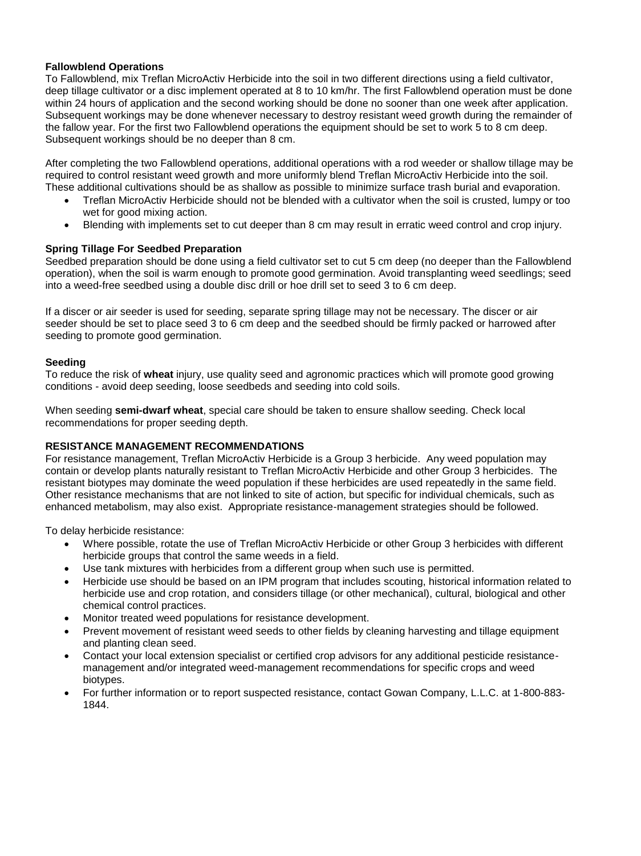#### **Fallowblend Operations**

To Fallowblend, mix Treflan MicroActiv Herbicide into the soil in two different directions using a field cultivator, deep tillage cultivator or a disc implement operated at 8 to 10 km/hr. The first Fallowblend operation must be done within 24 hours of application and the second working should be done no sooner than one week after application. Subsequent workings may be done whenever necessary to destroy resistant weed growth during the remainder of the fallow year. For the first two Fallowblend operations the equipment should be set to work 5 to 8 cm deep. Subsequent workings should be no deeper than 8 cm.

After completing the two Fallowblend operations, additional operations with a rod weeder or shallow tillage may be required to control resistant weed growth and more uniformly blend Treflan MicroActiv Herbicide into the soil. These additional cultivations should be as shallow as possible to minimize surface trash burial and evaporation.

- Treflan MicroActiv Herbicide should not be blended with a cultivator when the soil is crusted, lumpy or too wet for good mixing action.
- Blending with implements set to cut deeper than 8 cm may result in erratic weed control and crop injury.

#### **Spring Tillage For Seedbed Preparation**

Seedbed preparation should be done using a field cultivator set to cut 5 cm deep (no deeper than the Fallowblend operation), when the soil is warm enough to promote good germination. Avoid transplanting weed seedlings; seed into a weed-free seedbed using a double disc drill or hoe drill set to seed 3 to 6 cm deep.

If a discer or air seeder is used for seeding, separate spring tillage may not be necessary. The discer or air seeder should be set to place seed 3 to 6 cm deep and the seedbed should be firmly packed or harrowed after seeding to promote good germination.

#### **Seeding**

To reduce the risk of **wheat** injury, use quality seed and agronomic practices which will promote good growing conditions - avoid deep seeding, loose seedbeds and seeding into cold soils.

When seeding **semi-dwarf wheat**, special care should be taken to ensure shallow seeding. Check local recommendations for proper seeding depth.

#### **RESISTANCE MANAGEMENT RECOMMENDATIONS**

For resistance management, Treflan MicroActiv Herbicide is a Group 3 herbicide. Any weed population may contain or develop plants naturally resistant to Treflan MicroActiv Herbicide and other Group 3 herbicides. The resistant biotypes may dominate the weed population if these herbicides are used repeatedly in the same field. Other resistance mechanisms that are not linked to site of action, but specific for individual chemicals, such as enhanced metabolism, may also exist. Appropriate resistance-management strategies should be followed.

To delay herbicide resistance:

- Where possible, rotate the use of Treflan MicroActiv Herbicide or other Group 3 herbicides with different herbicide groups that control the same weeds in a field.
- Use tank mixtures with herbicides from a different group when such use is permitted.
- Herbicide use should be based on an IPM program that includes scouting, historical information related to herbicide use and crop rotation, and considers tillage (or other mechanical), cultural, biological and other chemical control practices.
- Monitor treated weed populations for resistance development.
- Prevent movement of resistant weed seeds to other fields by cleaning harvesting and tillage equipment and planting clean seed.
- Contact your local extension specialist or certified crop advisors for any additional pesticide resistancemanagement and/or integrated weed-management recommendations for specific crops and weed biotypes.
- For further information or to report suspected resistance, contact Gowan Company, L.L.C. at 1-800-883- 1844.